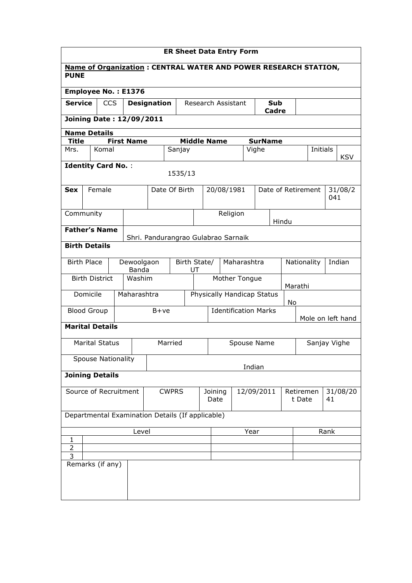| <b>ER Sheet Data Entry Form</b>                        |                                                                                |        |            |                           |                                     |        |  |                    |               |             |                             |         |                       |                        |
|--------------------------------------------------------|--------------------------------------------------------------------------------|--------|------------|---------------------------|-------------------------------------|--------|--|--------------------|---------------|-------------|-----------------------------|---------|-----------------------|------------------------|
|                                                        | Name of Organization: CENTRAL WATER AND POWER RESEARCH STATION,<br><b>PUNE</b> |        |            |                           |                                     |        |  |                    |               |             |                             |         |                       |                        |
| <b>Employee No.: E1376</b>                             |                                                                                |        |            |                           |                                     |        |  |                    |               |             |                             |         |                       |                        |
| <b>Service</b>                                         |                                                                                |        | <b>CCS</b> |                           | <b>Designation</b>                  |        |  | Research Assistant |               |             | <b>Sub</b>                  |         |                       |                        |
| <b>Cadre</b>                                           |                                                                                |        |            |                           |                                     |        |  |                    |               |             |                             |         |                       |                        |
| <b>Joining Date: 12/09/2011</b><br><b>Name Details</b> |                                                                                |        |            |                           |                                     |        |  |                    |               |             |                             |         |                       |                        |
| <b>Title</b>                                           |                                                                                |        |            | <b>First Name</b>         |                                     |        |  | <b>Middle Name</b> |               |             | <b>SurName</b>              |         |                       |                        |
| Mrs.                                                   |                                                                                | Komal  |            |                           |                                     | Sanjay |  |                    |               |             | Vighe                       |         |                       | Initials<br><b>KSV</b> |
|                                                        | <b>Identity Card No.:</b><br>1535/13                                           |        |            |                           |                                     |        |  |                    |               |             |                             |         |                       |                        |
|                                                        |                                                                                |        |            |                           |                                     |        |  |                    |               |             |                             |         |                       |                        |
| <b>Sex</b>                                             |                                                                                | Female |            |                           | Date Of Birth                       |        |  | 20/08/1981         |               |             |                             |         | Date of Retirement    | 31/08/2<br>041         |
| Community                                              |                                                                                |        |            |                           |                                     |        |  |                    |               | Religion    |                             |         |                       |                        |
| <b>Father's Name</b>                                   |                                                                                |        |            |                           |                                     |        |  |                    |               |             |                             | Hindu   |                       |                        |
| <b>Birth Details</b>                                   |                                                                                |        |            |                           | Shri. Pandurangrao Gulabrao Sarnaik |        |  |                    |               |             |                             |         |                       |                        |
|                                                        |                                                                                |        |            |                           |                                     |        |  |                    |               |             |                             |         |                       |                        |
|                                                        | <b>Birth Place</b>                                                             |        |            | Dewoolgaon<br>Banda       | Birth State/<br>UT                  |        |  |                    | Maharashtra   |             |                             |         | Nationality<br>Indian |                        |
|                                                        | <b>Birth District</b>                                                          |        |            | Washim                    |                                     |        |  |                    | Mother Tongue |             |                             | Marathi |                       |                        |
|                                                        | Domicile                                                                       |        |            | Maharashtra               |                                     |        |  |                    |               |             | Physically Handicap Status  | No      |                       |                        |
|                                                        | <b>Blood Group</b>                                                             |        |            |                           | $B+ve$                              |        |  |                    |               |             | <b>Identification Marks</b> |         |                       |                        |
| <b>Marital Details</b>                                 |                                                                                |        |            |                           |                                     |        |  |                    |               |             |                             |         |                       | Mole on left hand      |
|                                                        | <b>Marital Status</b>                                                          |        |            |                           | Married                             |        |  |                    |               | Spouse Name |                             |         |                       | Sanjay Vighe           |
|                                                        |                                                                                |        |            | <b>Spouse Nationality</b> |                                     |        |  |                    |               |             |                             |         |                       |                        |
|                                                        |                                                                                |        |            |                           |                                     |        |  |                    |               |             | Indian                      |         |                       |                        |
| <b>Joining Details</b>                                 |                                                                                |        |            |                           |                                     |        |  |                    |               |             |                             |         |                       |                        |
|                                                        |                                                                                |        |            | Source of Recruitment     | <b>CWPRS</b>                        |        |  | Joining<br>Date    |               |             | 12/09/2011                  |         | Retiremen<br>t Date   | 31/08/20<br>41         |
|                                                        | Departmental Examination Details (If applicable)                               |        |            |                           |                                     |        |  |                    |               |             |                             |         |                       |                        |
| Level<br>Year<br>Rank                                  |                                                                                |        |            |                           |                                     |        |  |                    |               |             |                             |         |                       |                        |
| $\mathbf{1}$                                           |                                                                                |        |            |                           |                                     |        |  |                    |               |             |                             |         |                       |                        |
| $\overline{2}$<br>3                                    |                                                                                |        |            |                           |                                     |        |  |                    |               |             |                             |         |                       |                        |
| Remarks (if any)                                       |                                                                                |        |            |                           |                                     |        |  |                    |               |             |                             |         |                       |                        |
|                                                        |                                                                                |        |            |                           |                                     |        |  |                    |               |             |                             |         |                       |                        |
|                                                        |                                                                                |        |            |                           |                                     |        |  |                    |               |             |                             |         |                       |                        |
|                                                        |                                                                                |        |            |                           |                                     |        |  |                    |               |             |                             |         |                       |                        |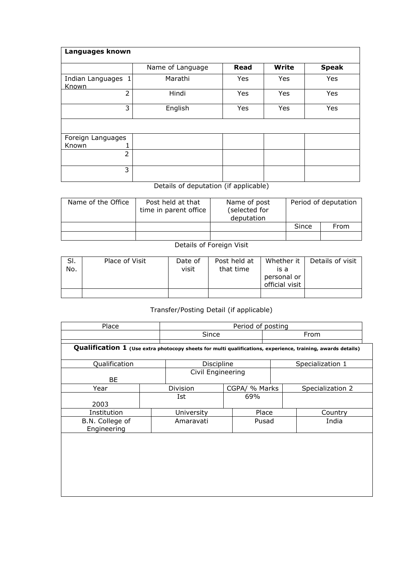| Languages known             |                  |             |              |              |
|-----------------------------|------------------|-------------|--------------|--------------|
|                             | Name of Language | <b>Read</b> | <b>Write</b> | <b>Speak</b> |
| Indian Languages 1<br>Known | Marathi          | Yes         | Yes          | Yes          |
| $\overline{2}$              | Hindi            | Yes         | Yes          | Yes          |
| 3                           | English          | Yes         | Yes          | Yes          |
|                             |                  |             |              |              |
| Foreign Languages           |                  |             |              |              |
| Known                       |                  |             |              |              |
| $\overline{2}$              |                  |             |              |              |
| 3                           |                  |             |              |              |

## Details of deputation (if applicable)

| Name of the Office | Post held at that<br>time in parent office | Name of post<br>(selected for<br>deputation | Period of deputation |      |  |  |
|--------------------|--------------------------------------------|---------------------------------------------|----------------------|------|--|--|
|                    |                                            |                                             | Since                | From |  |  |
|                    |                                            |                                             |                      |      |  |  |

## Details of Foreign Visit

| SI.<br>No. | Place of Visit | Date of<br>visit | Post held at<br>that time | Whether it<br>is a<br>personal or | Details of visit |
|------------|----------------|------------------|---------------------------|-----------------------------------|------------------|
|            |                |                  |                           | official visit                    |                  |
|            |                |                  |                           |                                   |                  |

## Transfer/Posting Detail (if applicable)

| Place                                                                                                       |            | Period of posting |       |                  |  |  |  |
|-------------------------------------------------------------------------------------------------------------|------------|-------------------|-------|------------------|--|--|--|
|                                                                                                             | Since      |                   |       | From             |  |  |  |
| Qualification 1 (Use extra photocopy sheets for multi qualifications, experience, training, awards details) |            |                   |       |                  |  |  |  |
| Qualification                                                                                               |            | Discipline        |       | Specialization 1 |  |  |  |
| <b>BE</b>                                                                                                   |            | Civil Engineering |       |                  |  |  |  |
| Year                                                                                                        | Division   | CGPA/ % Marks     |       | Specialization 2 |  |  |  |
| 2003                                                                                                        | Ist        | 69%               |       |                  |  |  |  |
| Institution                                                                                                 | University |                   | Place | Country          |  |  |  |
| B.N. College of<br>Engineering                                                                              | Amaravati  |                   | Pusad | India            |  |  |  |
|                                                                                                             |            |                   |       |                  |  |  |  |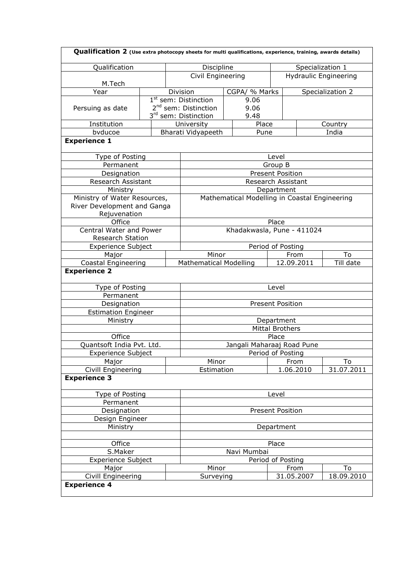| Qualification 2 (Use extra photocopy sheets for multi qualifications, experience, training, awards details) |                               |  |                                  |  |                         |                  |                                               |                  |  |  |
|-------------------------------------------------------------------------------------------------------------|-------------------------------|--|----------------------------------|--|-------------------------|------------------|-----------------------------------------------|------------------|--|--|
| Qualification                                                                                               | Discipline                    |  |                                  |  |                         | Specialization 1 |                                               |                  |  |  |
|                                                                                                             |                               |  | Civil Engineering                |  |                         |                  | <b>Hydraulic Engineering</b>                  |                  |  |  |
| M.Tech                                                                                                      |                               |  |                                  |  |                         |                  |                                               |                  |  |  |
| Year                                                                                                        |                               |  | Division                         |  | CGPA/ % Marks           |                  |                                               | Specialization 2 |  |  |
|                                                                                                             |                               |  | 1 <sup>st</sup> sem: Distinction |  | 9.06                    |                  |                                               |                  |  |  |
| Persuing as date                                                                                            |                               |  | 2 <sup>nd</sup> sem: Distinction |  | 9.06                    |                  |                                               |                  |  |  |
|                                                                                                             |                               |  | 3 <sup>rd</sup> sem: Distinction |  | 9.48                    |                  |                                               |                  |  |  |
| Institution                                                                                                 |                               |  | University                       |  | Place                   |                  |                                               | Country          |  |  |
| bvducoe                                                                                                     |                               |  | Bharati Vidyapeeth               |  | Pune                    |                  |                                               | India            |  |  |
| <b>Experience 1</b>                                                                                         |                               |  |                                  |  |                         |                  |                                               |                  |  |  |
| Type of Posting                                                                                             |                               |  |                                  |  |                         | Level            |                                               |                  |  |  |
| Permanent                                                                                                   |                               |  |                                  |  |                         | Group B          |                                               |                  |  |  |
| Designation                                                                                                 |                               |  |                                  |  | <b>Present Position</b> |                  |                                               |                  |  |  |
| Research Assistant                                                                                          |                               |  |                                  |  | Research Assistant      |                  |                                               |                  |  |  |
| Ministry                                                                                                    |                               |  |                                  |  |                         | Department       |                                               |                  |  |  |
| Ministry of Water Resources,                                                                                |                               |  |                                  |  |                         |                  | Mathematical Modelling in Coastal Engineering |                  |  |  |
| River Development and Ganga                                                                                 |                               |  |                                  |  |                         |                  |                                               |                  |  |  |
| Rejuvenation                                                                                                |                               |  |                                  |  |                         |                  |                                               |                  |  |  |
| Office                                                                                                      |                               |  |                                  |  |                         | Place            |                                               |                  |  |  |
| Central Water and Power                                                                                     |                               |  |                                  |  |                         |                  | Khadakwasla, Pune - 411024                    |                  |  |  |
| Research Station                                                                                            |                               |  |                                  |  |                         |                  |                                               |                  |  |  |
| Experience Subject                                                                                          |                               |  | Period of Posting                |  |                         |                  |                                               |                  |  |  |
|                                                                                                             |                               |  | Minor                            |  |                         |                  | From<br>To                                    |                  |  |  |
| Major                                                                                                       | <b>Mathematical Modelling</b> |  |                                  |  | 12.09.2011              |                  |                                               |                  |  |  |
| Coastal Engineering                                                                                         |                               |  |                                  |  |                         | Till date        |                                               |                  |  |  |
| <b>Experience 2</b>                                                                                         |                               |  |                                  |  |                         |                  |                                               |                  |  |  |
| Type of Posting                                                                                             |                               |  |                                  |  |                         | Level            |                                               |                  |  |  |
| Permanent                                                                                                   |                               |  |                                  |  |                         |                  |                                               |                  |  |  |
| Designation                                                                                                 |                               |  |                                  |  | <b>Present Position</b> |                  |                                               |                  |  |  |
| <b>Estimation Engineer</b>                                                                                  |                               |  |                                  |  |                         |                  |                                               |                  |  |  |
| Ministry                                                                                                    |                               |  |                                  |  |                         | Department       |                                               |                  |  |  |
|                                                                                                             |                               |  |                                  |  | <b>Mittal Brothers</b>  |                  |                                               |                  |  |  |
| Office                                                                                                      |                               |  | Place                            |  |                         |                  |                                               |                  |  |  |
| Quantsoft India Pvt. Ltd.                                                                                   |                               |  | Jangali Maharaaj Road Pune       |  |                         |                  |                                               |                  |  |  |
| Experience Subject                                                                                          |                               |  | Period of Posting                |  |                         |                  |                                               |                  |  |  |
| Major                                                                                                       |                               |  | Minor                            |  |                         | From             | To                                            |                  |  |  |
| Civill Engineering                                                                                          |                               |  | Estimation                       |  |                         |                  | 1.06.2010                                     | 31.07.2011       |  |  |
| <b>Experience 3</b>                                                                                         |                               |  |                                  |  |                         |                  |                                               |                  |  |  |
| Type of Posting                                                                                             |                               |  | Level                            |  |                         |                  |                                               |                  |  |  |
| Permanent                                                                                                   |                               |  |                                  |  |                         |                  |                                               |                  |  |  |
| Designation                                                                                                 |                               |  | <b>Present Position</b>          |  |                         |                  |                                               |                  |  |  |
| Design Engineer                                                                                             |                               |  |                                  |  |                         |                  |                                               |                  |  |  |
| Ministry                                                                                                    | Department                    |  |                                  |  |                         |                  |                                               |                  |  |  |
|                                                                                                             |                               |  |                                  |  |                         |                  |                                               |                  |  |  |
| Office                                                                                                      | Place                         |  |                                  |  |                         |                  |                                               |                  |  |  |
| S.Maker                                                                                                     | Navi Mumbai                   |  |                                  |  |                         |                  |                                               |                  |  |  |
| <b>Experience Subject</b>                                                                                   | Period of Posting             |  |                                  |  |                         |                  |                                               |                  |  |  |
| Major                                                                                                       |                               |  | Minor                            |  |                         | From             | To                                            |                  |  |  |
| Civill Engineering                                                                                          |                               |  | 31.05.2007<br>Surveying          |  |                         |                  | 18.09.2010                                    |                  |  |  |
| <b>Experience 4</b>                                                                                         |                               |  |                                  |  |                         |                  |                                               |                  |  |  |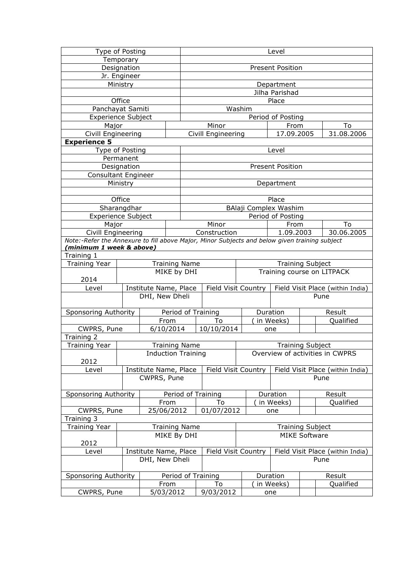| Type of Posting                                                                               |             |                       |                           | Level          |                     |                     |  |                                 |                      |                                  |  |  |  |
|-----------------------------------------------------------------------------------------------|-------------|-----------------------|---------------------------|----------------|---------------------|---------------------|--|---------------------------------|----------------------|----------------------------------|--|--|--|
| Temporary                                                                                     |             |                       |                           |                |                     |                     |  |                                 |                      |                                  |  |  |  |
| Designation                                                                                   |             |                       |                           |                | Present Position    |                     |  |                                 |                      |                                  |  |  |  |
| Jr. Engineer                                                                                  |             |                       |                           |                |                     |                     |  |                                 |                      |                                  |  |  |  |
|                                                                                               | Ministry    |                       |                           | Department     |                     |                     |  |                                 |                      |                                  |  |  |  |
|                                                                                               |             |                       |                           | Jilha Parishad |                     |                     |  |                                 |                      |                                  |  |  |  |
|                                                                                               | Office      |                       |                           | Place          |                     |                     |  |                                 |                      |                                  |  |  |  |
| Panchayat Samiti                                                                              |             |                       |                           |                | Washim              |                     |  |                                 |                      |                                  |  |  |  |
| <b>Experience Subject</b>                                                                     |             |                       |                           |                |                     |                     |  | Period of Posting               |                      |                                  |  |  |  |
| Major                                                                                         |             |                       |                           |                | Minor               |                     |  | From                            |                      | To                               |  |  |  |
| Civill Engineering                                                                            |             |                       |                           |                | Civill Engineering  |                     |  | 17.09.2005                      |                      | 31.08.2006                       |  |  |  |
| <b>Experience 5</b>                                                                           |             |                       |                           |                |                     |                     |  |                                 |                      |                                  |  |  |  |
| Type of Posting                                                                               |             |                       |                           |                |                     |                     |  | Level                           |                      |                                  |  |  |  |
|                                                                                               | Permanent   |                       |                           |                |                     |                     |  |                                 |                      |                                  |  |  |  |
|                                                                                               | Designation |                       |                           |                |                     |                     |  | <b>Present Position</b>         |                      |                                  |  |  |  |
| Consultant Engineer                                                                           |             |                       |                           |                |                     |                     |  |                                 |                      |                                  |  |  |  |
|                                                                                               | Ministry    |                       |                           |                |                     |                     |  | Department                      |                      |                                  |  |  |  |
|                                                                                               |             |                       |                           |                |                     |                     |  |                                 |                      |                                  |  |  |  |
|                                                                                               | Office      |                       |                           |                |                     |                     |  | Place                           |                      |                                  |  |  |  |
|                                                                                               | Sharangdhar |                       |                           |                |                     |                     |  | BAlaji Complex Washim           |                      |                                  |  |  |  |
| <b>Experience Subject</b>                                                                     |             |                       |                           |                |                     |                     |  | Period of Posting               |                      |                                  |  |  |  |
| Major                                                                                         |             |                       |                           |                | Minor               |                     |  | From                            |                      | To                               |  |  |  |
| Civill Engineering                                                                            |             |                       |                           |                | Construction        |                     |  | 1.09.2003                       |                      | 30.06.2005                       |  |  |  |
| Note:-Refer the Annexure to fill above Major, Minor Subjects and below given training subject |             |                       |                           |                |                     |                     |  |                                 |                      |                                  |  |  |  |
| (minimum 1 week & above)                                                                      |             |                       |                           |                |                     |                     |  |                                 |                      |                                  |  |  |  |
| Training 1                                                                                    |             |                       |                           |                |                     |                     |  |                                 |                      |                                  |  |  |  |
| <b>Training Year</b><br><b>Training Name</b>                                                  |             |                       |                           |                |                     |                     |  | <b>Training Subject</b>         |                      |                                  |  |  |  |
| MIKE by DHI                                                                                   |             |                       |                           |                |                     |                     |  |                                 |                      | Training course on LITPACK       |  |  |  |
| 2014                                                                                          |             |                       |                           |                |                     |                     |  |                                 |                      |                                  |  |  |  |
| Level                                                                                         |             | Institute Name, Place | Field Visit Country       |                |                     |                     |  |                                 |                      | Field Visit Place (within India) |  |  |  |
|                                                                                               |             | DHI, New Dheli        |                           |                |                     |                     |  |                                 |                      | Pune                             |  |  |  |
|                                                                                               |             |                       |                           |                |                     |                     |  |                                 |                      |                                  |  |  |  |
| Sponsoring Authority                                                                          |             | Period of Training    |                           |                |                     |                     |  | Duration                        |                      | Result                           |  |  |  |
|                                                                                               |             | From                  |                           |                | To                  |                     |  | in Weeks)                       |                      | Qualified                        |  |  |  |
| CWPRS, Pune                                                                                   |             | 6/10/2014             |                           |                | 10/10/2014          |                     |  | one                             |                      |                                  |  |  |  |
| Training 2                                                                                    |             |                       |                           |                |                     |                     |  |                                 |                      |                                  |  |  |  |
| <b>Training Year</b>                                                                          |             |                       | <b>Training Name</b>      |                |                     |                     |  | <b>Training Subject</b>         |                      |                                  |  |  |  |
|                                                                                               |             |                       | <b>Induction Training</b> |                |                     |                     |  | Overview of activities in CWPRS |                      |                                  |  |  |  |
| 2012                                                                                          |             |                       |                           |                |                     |                     |  |                                 |                      |                                  |  |  |  |
| Level                                                                                         |             |                       | Institute Name, Place     |                |                     | Field Visit Country |  |                                 |                      | Field Visit Place (within India) |  |  |  |
|                                                                                               |             | CWPRS, Pune           |                           |                |                     |                     |  |                                 |                      | Pune                             |  |  |  |
|                                                                                               |             |                       |                           |                |                     |                     |  |                                 |                      |                                  |  |  |  |
| Sponsoring Authority                                                                          |             |                       |                           |                | Period of Training  |                     |  | Duration                        |                      | Result                           |  |  |  |
|                                                                                               |             | From                  |                           |                | To                  |                     |  | in Weeks)                       |                      | Qualified                        |  |  |  |
| CWPRS, Pune                                                                                   |             | 25/06/2012            |                           |                | 01/07/2012          |                     |  | one                             |                      |                                  |  |  |  |
| Training 3                                                                                    |             |                       |                           |                |                     |                     |  |                                 |                      |                                  |  |  |  |
| <b>Training Year</b><br><b>Training Name</b>                                                  |             |                       |                           |                |                     |                     |  | <b>Training Subject</b>         |                      |                                  |  |  |  |
| MIKE By DHI                                                                                   |             |                       |                           |                |                     |                     |  |                                 |                      |                                  |  |  |  |
| 2012                                                                                          |             |                       |                           |                |                     |                     |  |                                 | <b>MIKE Software</b> |                                  |  |  |  |
| Level                                                                                         |             | Institute Name, Place |                           |                | Field Visit Country |                     |  |                                 |                      | Field Visit Place (within India) |  |  |  |
|                                                                                               |             | DHI, New Dheli        |                           |                |                     |                     |  |                                 |                      | Pune                             |  |  |  |
|                                                                                               |             |                       |                           |                |                     |                     |  |                                 |                      |                                  |  |  |  |
| Sponsoring Authority                                                                          |             | Period of Training    |                           |                |                     |                     |  | Duration                        |                      | Result                           |  |  |  |
|                                                                                               |             | From                  |                           |                | To                  |                     |  | in Weeks)                       |                      | Qualified                        |  |  |  |
| CWPRS, Pune                                                                                   |             | 5/03/2012             |                           |                | 9/03/2012           | one                 |  |                                 |                      |                                  |  |  |  |
|                                                                                               |             |                       |                           |                |                     |                     |  |                                 |                      |                                  |  |  |  |